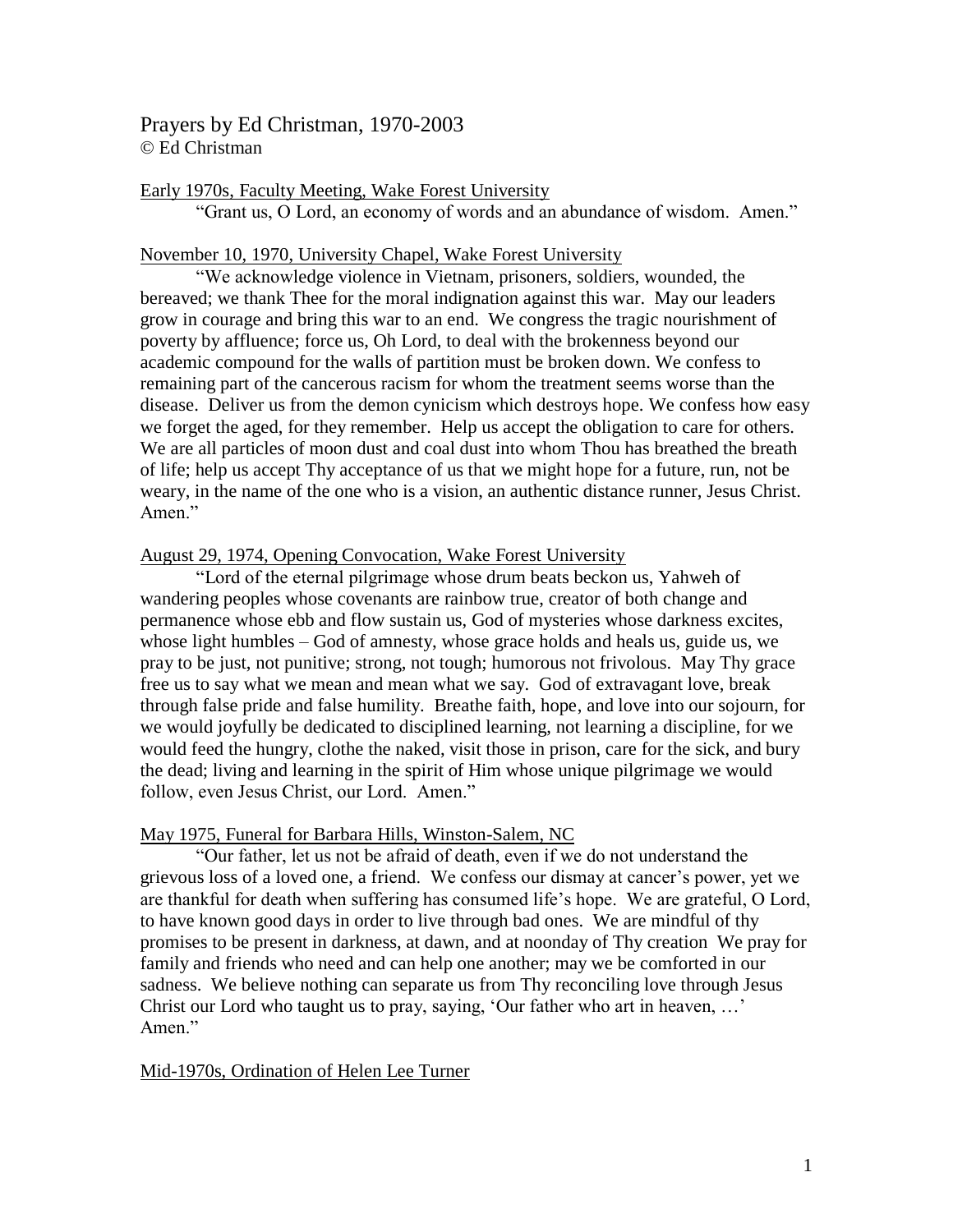Prayers by Ed Christman, 1970-2003 © Ed Christman

### Early 1970s, Faculty Meeting, Wake Forest University

"Grant us, O Lord, an economy of words and an abundance of wisdom. Amen."

#### November 10, 1970, University Chapel, Wake Forest University

"We acknowledge violence in Vietnam, prisoners, soldiers, wounded, the bereaved; we thank Thee for the moral indignation against this war. May our leaders grow in courage and bring this war to an end. We congress the tragic nourishment of poverty by affluence; force us, Oh Lord, to deal with the brokenness beyond our academic compound for the walls of partition must be broken down. We confess to remaining part of the cancerous racism for whom the treatment seems worse than the disease. Deliver us from the demon cynicism which destroys hope. We confess how easy we forget the aged, for they remember. Help us accept the obligation to care for others. We are all particles of moon dust and coal dust into whom Thou has breathed the breath of life; help us accept Thy acceptance of us that we might hope for a future, run, not be weary, in the name of the one who is a vision, an authentic distance runner, Jesus Christ. Amen."

#### August 29, 1974, Opening Convocation, Wake Forest University

"Lord of the eternal pilgrimage whose drum beats beckon us, Yahweh of wandering peoples whose covenants are rainbow true, creator of both change and permanence whose ebb and flow sustain us, God of mysteries whose darkness excites, whose light humbles – God of amnesty, whose grace holds and heals us, guide us, we pray to be just, not punitive; strong, not tough; humorous not frivolous. May Thy grace free us to say what we mean and mean what we say. God of extravagant love, break through false pride and false humility. Breathe faith, hope, and love into our sojourn, for we would joyfully be dedicated to disciplined learning, not learning a discipline, for we would feed the hungry, clothe the naked, visit those in prison, care for the sick, and bury the dead; living and learning in the spirit of Him whose unique pilgrimage we would follow, even Jesus Christ, our Lord. Amen."

#### May 1975, Funeral for Barbara Hills, Winston-Salem, NC

"Our father, let us not be afraid of death, even if we do not understand the grievous loss of a loved one, a friend. We confess our dismay at cancer's power, yet we are thankful for death when suffering has consumed life's hope. We are grateful, O Lord, to have known good days in order to live through bad ones. We are mindful of thy promises to be present in darkness, at dawn, and at noonday of Thy creation We pray for family and friends who need and can help one another; may we be comforted in our sadness. We believe nothing can separate us from Thy reconciling love through Jesus Christ our Lord who taught us to pray, saying, 'Our father who art in heaven, …' Amen."

### Mid-1970s, Ordination of Helen Lee Turner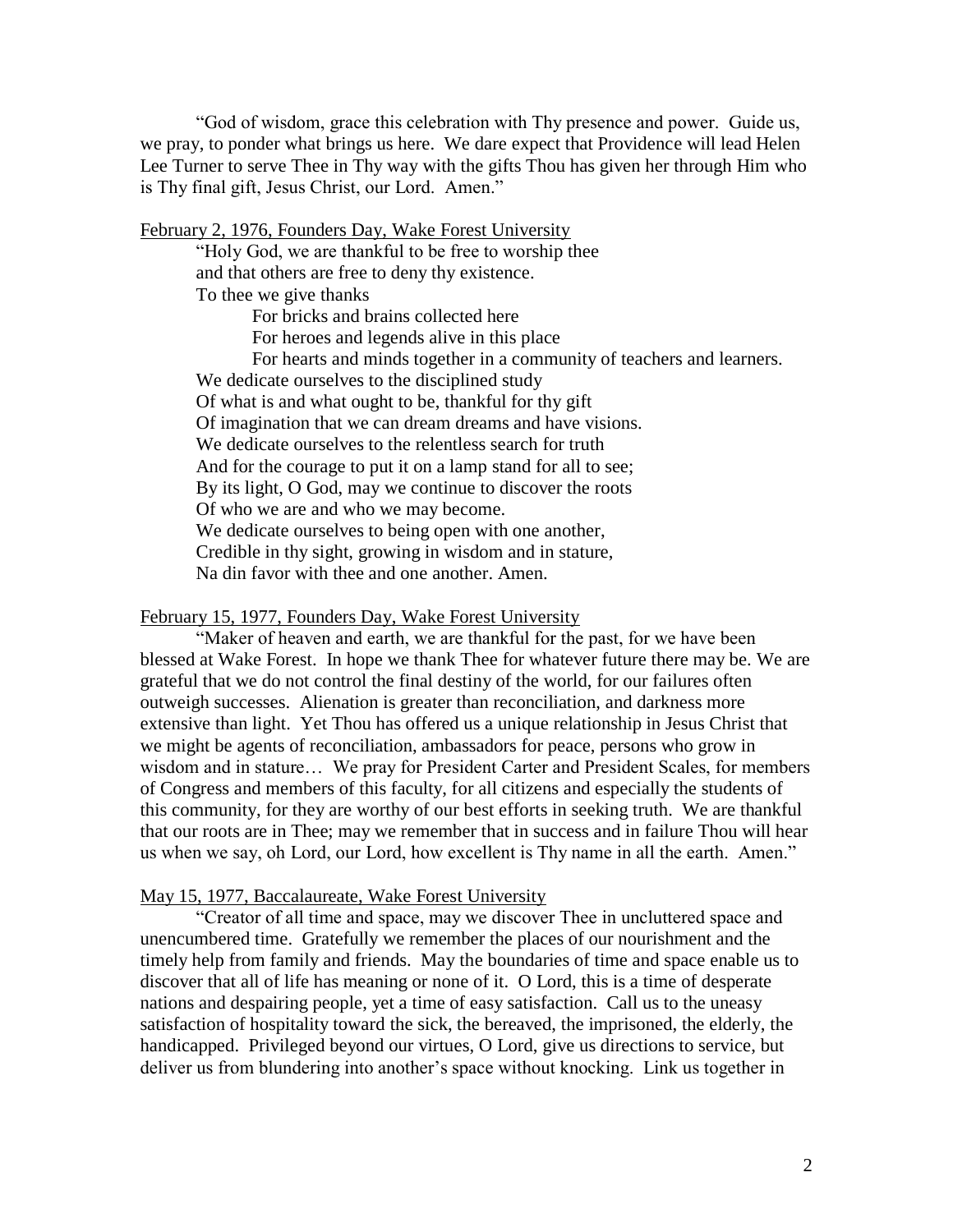"God of wisdom, grace this celebration with Thy presence and power. Guide us, we pray, to ponder what brings us here. We dare expect that Providence will lead Helen Lee Turner to serve Thee in Thy way with the gifts Thou has given her through Him who is Thy final gift, Jesus Christ, our Lord. Amen."

February 2, 1976, Founders Day, Wake Forest University

"Holy God, we are thankful to be free to worship thee and that others are free to deny thy existence. To thee we give thanks

For bricks and brains collected here

For heroes and legends alive in this place

For hearts and minds together in a community of teachers and learners. We dedicate ourselves to the disciplined study Of what is and what ought to be, thankful for thy gift Of imagination that we can dream dreams and have visions. We dedicate ourselves to the relentless search for truth And for the courage to put it on a lamp stand for all to see; By its light, O God, may we continue to discover the roots Of who we are and who we may become. We dedicate ourselves to being open with one another, Credible in thy sight, growing in wisdom and in stature, Na din favor with thee and one another. Amen.

### February 15, 1977, Founders Day, Wake Forest University

"Maker of heaven and earth, we are thankful for the past, for we have been blessed at Wake Forest. In hope we thank Thee for whatever future there may be. We are grateful that we do not control the final destiny of the world, for our failures often outweigh successes. Alienation is greater than reconciliation, and darkness more extensive than light. Yet Thou has offered us a unique relationship in Jesus Christ that we might be agents of reconciliation, ambassadors for peace, persons who grow in wisdom and in stature… We pray for President Carter and President Scales, for members of Congress and members of this faculty, for all citizens and especially the students of this community, for they are worthy of our best efforts in seeking truth. We are thankful that our roots are in Thee; may we remember that in success and in failure Thou will hear us when we say, oh Lord, our Lord, how excellent is Thy name in all the earth. Amen."

### May 15, 1977, Baccalaureate, Wake Forest University

"Creator of all time and space, may we discover Thee in uncluttered space and unencumbered time. Gratefully we remember the places of our nourishment and the timely help from family and friends. May the boundaries of time and space enable us to discover that all of life has meaning or none of it. O Lord, this is a time of desperate nations and despairing people, yet a time of easy satisfaction. Call us to the uneasy satisfaction of hospitality toward the sick, the bereaved, the imprisoned, the elderly, the handicapped. Privileged beyond our virtues, O Lord, give us directions to service, but deliver us from blundering into another's space without knocking. Link us together in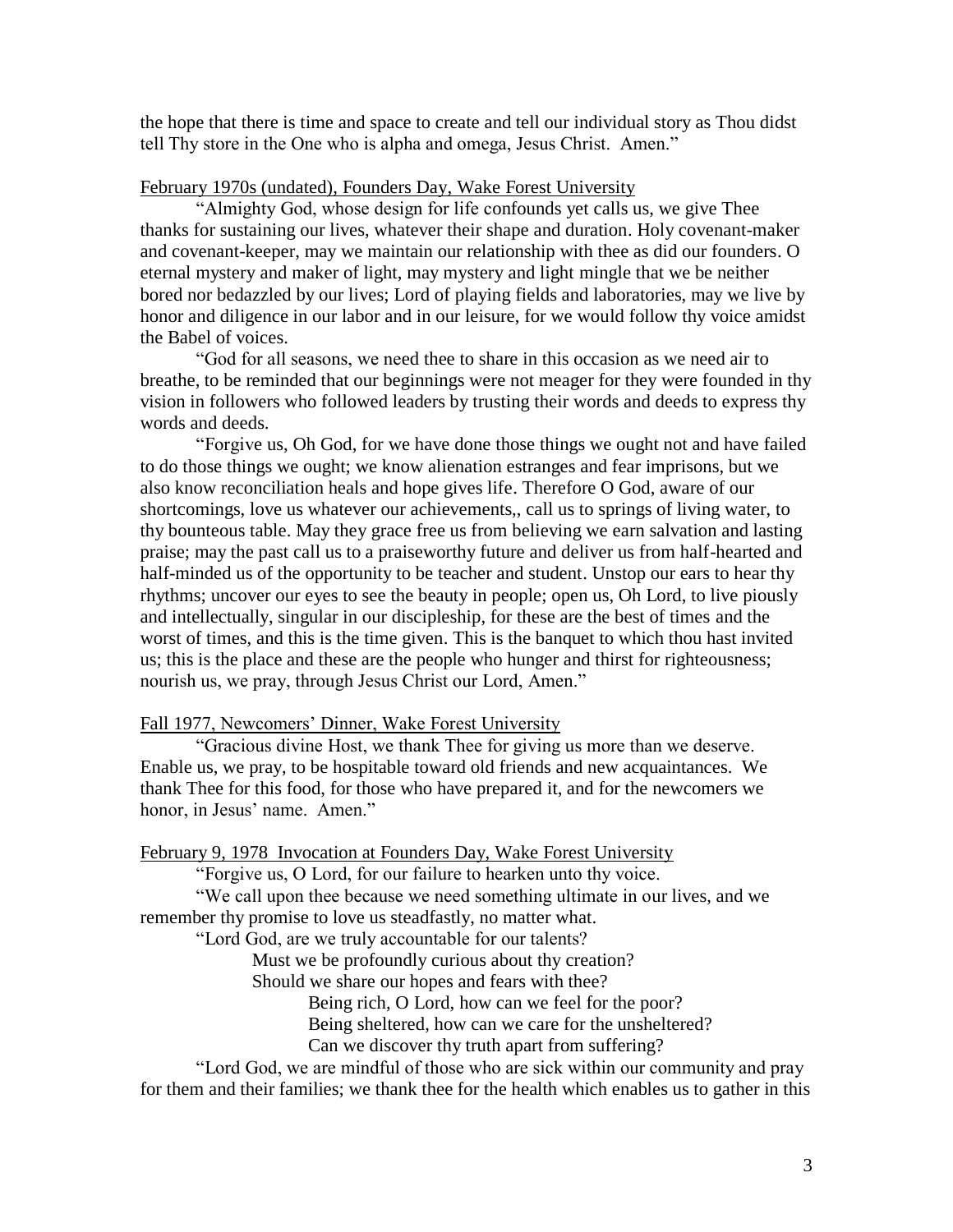the hope that there is time and space to create and tell our individual story as Thou didst tell Thy store in the One who is alpha and omega, Jesus Christ. Amen."

# February 1970s (undated), Founders Day, Wake Forest University

"Almighty God, whose design for life confounds yet calls us, we give Thee thanks for sustaining our lives, whatever their shape and duration. Holy covenant-maker and covenant-keeper, may we maintain our relationship with thee as did our founders. O eternal mystery and maker of light, may mystery and light mingle that we be neither bored nor bedazzled by our lives; Lord of playing fields and laboratories, may we live by honor and diligence in our labor and in our leisure, for we would follow thy voice amidst the Babel of voices.

"God for all seasons, we need thee to share in this occasion as we need air to breathe, to be reminded that our beginnings were not meager for they were founded in thy vision in followers who followed leaders by trusting their words and deeds to express thy words and deeds.

"Forgive us, Oh God, for we have done those things we ought not and have failed to do those things we ought; we know alienation estranges and fear imprisons, but we also know reconciliation heals and hope gives life. Therefore O God, aware of our shortcomings, love us whatever our achievements,, call us to springs of living water, to thy bounteous table. May they grace free us from believing we earn salvation and lasting praise; may the past call us to a praiseworthy future and deliver us from half-hearted and half-minded us of the opportunity to be teacher and student. Unstop our ears to hear thy rhythms; uncover our eyes to see the beauty in people; open us, Oh Lord, to live piously and intellectually, singular in our discipleship, for these are the best of times and the worst of times, and this is the time given. This is the banquet to which thou hast invited us; this is the place and these are the people who hunger and thirst for righteousness; nourish us, we pray, through Jesus Christ our Lord, Amen."

# Fall 1977, Newcomers' Dinner, Wake Forest University

"Gracious divine Host, we thank Thee for giving us more than we deserve. Enable us, we pray, to be hospitable toward old friends and new acquaintances. We thank Thee for this food, for those who have prepared it, and for the newcomers we honor, in Jesus' name. Amen."

## February 9, 1978 Invocation at Founders Day, Wake Forest University

"Forgive us, O Lord, for our failure to hearken unto thy voice.

"We call upon thee because we need something ultimate in our lives, and we remember thy promise to love us steadfastly, no matter what.

"Lord God, are we truly accountable for our talents?

Must we be profoundly curious about thy creation?

Should we share our hopes and fears with thee?

Being rich, O Lord, how can we feel for the poor?

Being sheltered, how can we care for the unsheltered?

Can we discover thy truth apart from suffering?

"Lord God, we are mindful of those who are sick within our community and pray for them and their families; we thank thee for the health which enables us to gather in this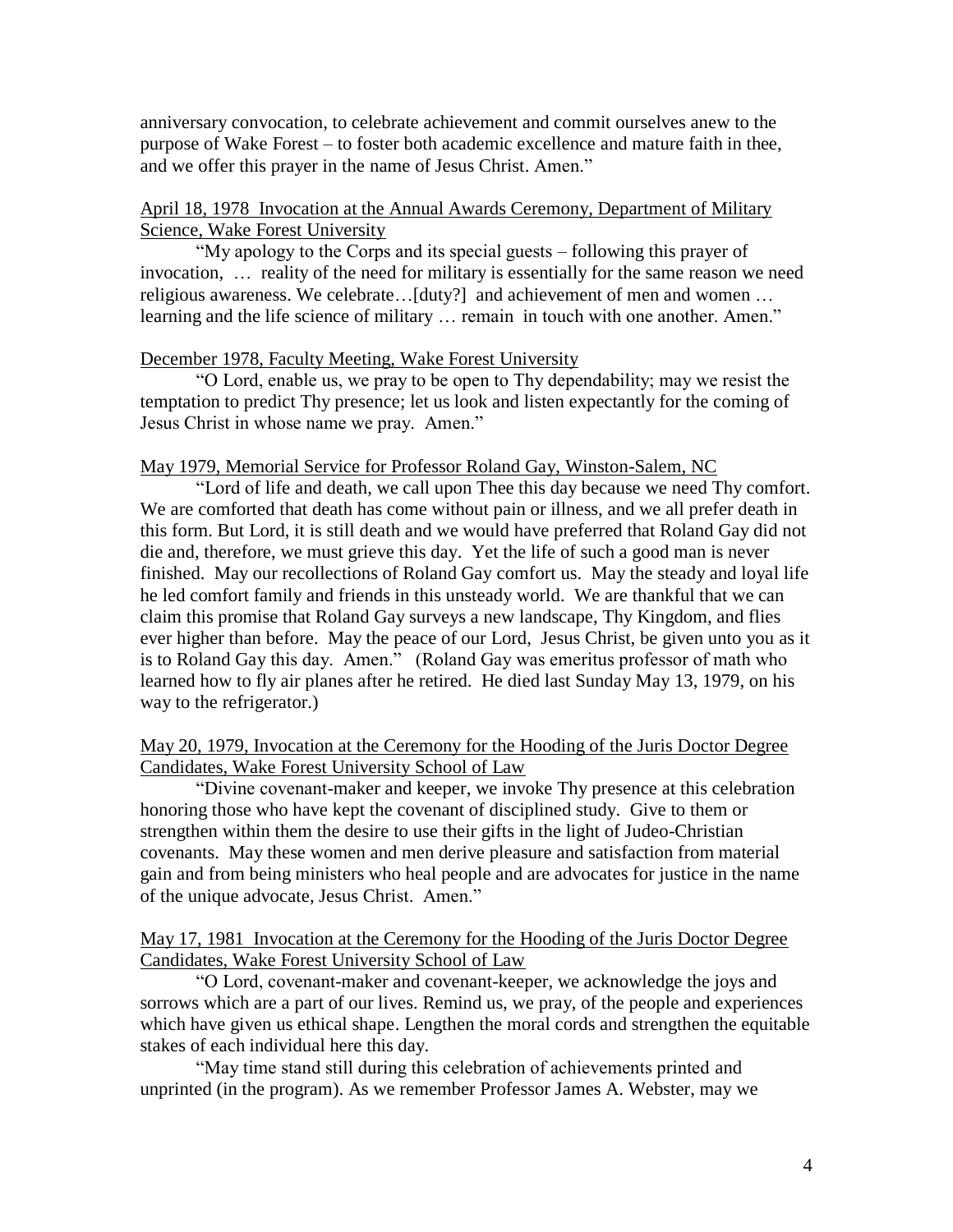anniversary convocation, to celebrate achievement and commit ourselves anew to the purpose of Wake Forest – to foster both academic excellence and mature faith in thee, and we offer this prayer in the name of Jesus Christ. Amen."

# April 18, 1978 Invocation at the Annual Awards Ceremony, Department of Military Science, Wake Forest University

"My apology to the Corps and its special guests – following this prayer of invocation, … reality of the need for military is essentially for the same reason we need religious awareness. We celebrate…[duty?] and achievement of men and women … learning and the life science of military … remain in touch with one another. Amen."

# December 1978, Faculty Meeting, Wake Forest University

"O Lord, enable us, we pray to be open to Thy dependability; may we resist the temptation to predict Thy presence; let us look and listen expectantly for the coming of Jesus Christ in whose name we pray. Amen."

## May 1979, Memorial Service for Professor Roland Gay, Winston-Salem, NC

"Lord of life and death, we call upon Thee this day because we need Thy comfort. We are comforted that death has come without pain or illness, and we all prefer death in this form. But Lord, it is still death and we would have preferred that Roland Gay did not die and, therefore, we must grieve this day. Yet the life of such a good man is never finished. May our recollections of Roland Gay comfort us. May the steady and loyal life he led comfort family and friends in this unsteady world. We are thankful that we can claim this promise that Roland Gay surveys a new landscape, Thy Kingdom, and flies ever higher than before. May the peace of our Lord, Jesus Christ, be given unto you as it is to Roland Gay this day. Amen." (Roland Gay was emeritus professor of math who learned how to fly air planes after he retired. He died last Sunday May 13, 1979, on his way to the refrigerator.)

# May 20, 1979, Invocation at the Ceremony for the Hooding of the Juris Doctor Degree Candidates, Wake Forest University School of Law

"Divine covenant-maker and keeper, we invoke Thy presence at this celebration honoring those who have kept the covenant of disciplined study. Give to them or strengthen within them the desire to use their gifts in the light of Judeo-Christian covenants. May these women and men derive pleasure and satisfaction from material gain and from being ministers who heal people and are advocates for justice in the name of the unique advocate, Jesus Christ. Amen."

## May 17, 1981 Invocation at the Ceremony for the Hooding of the Juris Doctor Degree Candidates, Wake Forest University School of Law

"O Lord, covenant-maker and covenant-keeper, we acknowledge the joys and sorrows which are a part of our lives. Remind us, we pray, of the people and experiences which have given us ethical shape. Lengthen the moral cords and strengthen the equitable stakes of each individual here this day.

"May time stand still during this celebration of achievements printed and unprinted (in the program). As we remember Professor James A. Webster, may we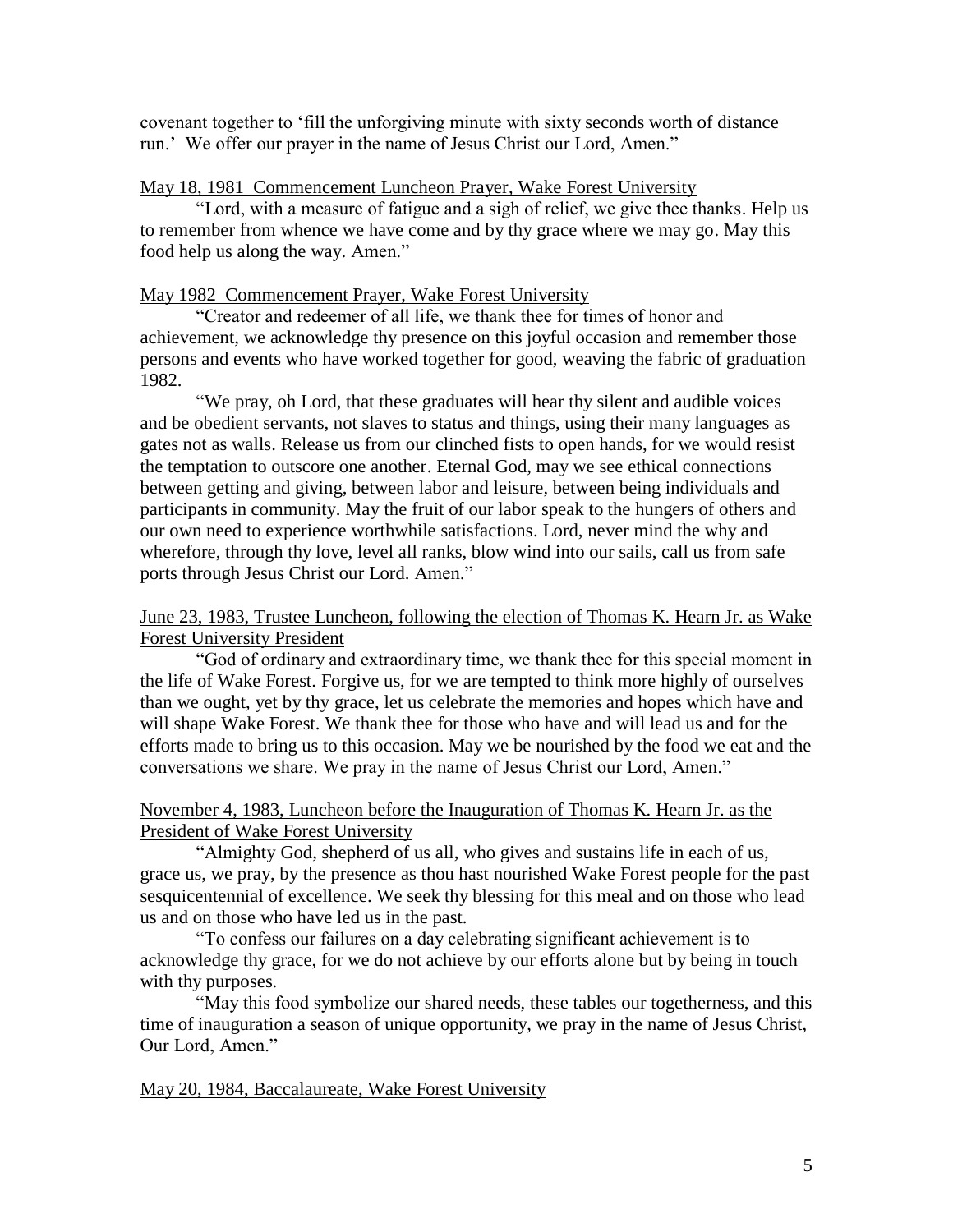covenant together to 'fill the unforgiving minute with sixty seconds worth of distance run.' We offer our prayer in the name of Jesus Christ our Lord, Amen."

# May 18, 1981 Commencement Luncheon Prayer, Wake Forest University

"Lord, with a measure of fatigue and a sigh of relief, we give thee thanks. Help us to remember from whence we have come and by thy grace where we may go. May this food help us along the way. Amen."

## May 1982 Commencement Prayer, Wake Forest University

"Creator and redeemer of all life, we thank thee for times of honor and achievement, we acknowledge thy presence on this joyful occasion and remember those persons and events who have worked together for good, weaving the fabric of graduation 1982.

"We pray, oh Lord, that these graduates will hear thy silent and audible voices and be obedient servants, not slaves to status and things, using their many languages as gates not as walls. Release us from our clinched fists to open hands, for we would resist the temptation to outscore one another. Eternal God, may we see ethical connections between getting and giving, between labor and leisure, between being individuals and participants in community. May the fruit of our labor speak to the hungers of others and our own need to experience worthwhile satisfactions. Lord, never mind the why and wherefore, through thy love, level all ranks, blow wind into our sails, call us from safe ports through Jesus Christ our Lord. Amen."

# June 23, 1983, Trustee Luncheon, following the election of Thomas K. Hearn Jr. as Wake Forest University President

"God of ordinary and extraordinary time, we thank thee for this special moment in the life of Wake Forest. Forgive us, for we are tempted to think more highly of ourselves than we ought, yet by thy grace, let us celebrate the memories and hopes which have and will shape Wake Forest. We thank thee for those who have and will lead us and for the efforts made to bring us to this occasion. May we be nourished by the food we eat and the conversations we share. We pray in the name of Jesus Christ our Lord, Amen."

### November 4, 1983, Luncheon before the Inauguration of Thomas K. Hearn Jr. as the President of Wake Forest University

"Almighty God, shepherd of us all, who gives and sustains life in each of us, grace us, we pray, by the presence as thou hast nourished Wake Forest people for the past sesquicentennial of excellence. We seek thy blessing for this meal and on those who lead us and on those who have led us in the past.

"To confess our failures on a day celebrating significant achievement is to acknowledge thy grace, for we do not achieve by our efforts alone but by being in touch with thy purposes.

"May this food symbolize our shared needs, these tables our togetherness, and this time of inauguration a season of unique opportunity, we pray in the name of Jesus Christ, Our Lord, Amen."

May 20, 1984, Baccalaureate, Wake Forest University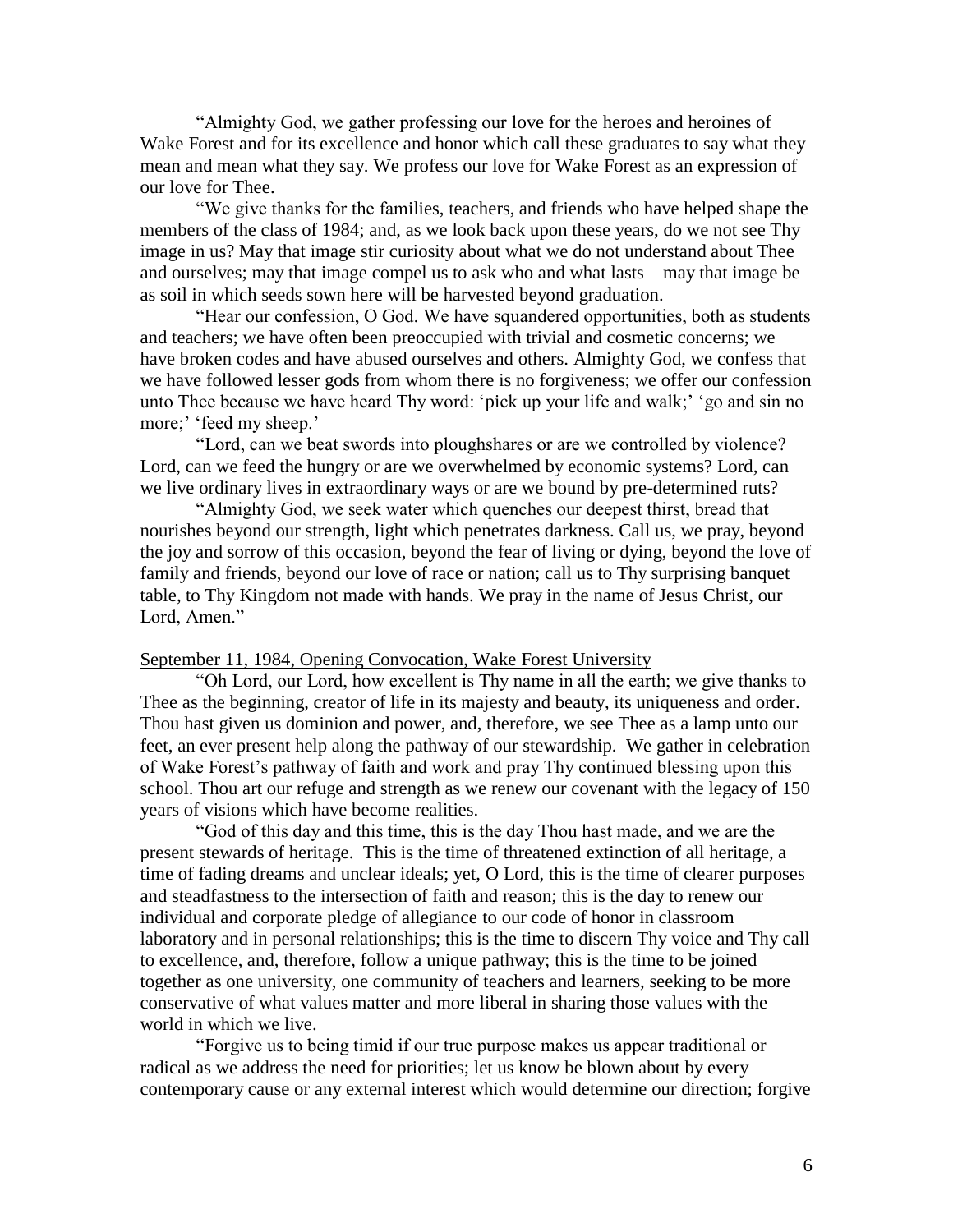"Almighty God, we gather professing our love for the heroes and heroines of Wake Forest and for its excellence and honor which call these graduates to say what they mean and mean what they say. We profess our love for Wake Forest as an expression of our love for Thee.

"We give thanks for the families, teachers, and friends who have helped shape the members of the class of 1984; and, as we look back upon these years, do we not see Thy image in us? May that image stir curiosity about what we do not understand about Thee and ourselves; may that image compel us to ask who and what lasts – may that image be as soil in which seeds sown here will be harvested beyond graduation.

"Hear our confession, O God. We have squandered opportunities, both as students and teachers; we have often been preoccupied with trivial and cosmetic concerns; we have broken codes and have abused ourselves and others. Almighty God, we confess that we have followed lesser gods from whom there is no forgiveness; we offer our confession unto Thee because we have heard Thy word: 'pick up your life and walk;' 'go and sin no more;' 'feed my sheep.'

"Lord, can we beat swords into ploughshares or are we controlled by violence? Lord, can we feed the hungry or are we overwhelmed by economic systems? Lord, can we live ordinary lives in extraordinary ways or are we bound by pre-determined ruts?

"Almighty God, we seek water which quenches our deepest thirst, bread that nourishes beyond our strength, light which penetrates darkness. Call us, we pray, beyond the joy and sorrow of this occasion, beyond the fear of living or dying, beyond the love of family and friends, beyond our love of race or nation; call us to Thy surprising banquet table, to Thy Kingdom not made with hands. We pray in the name of Jesus Christ, our Lord, Amen."

### September 11, 1984, Opening Convocation, Wake Forest University

"Oh Lord, our Lord, how excellent is Thy name in all the earth; we give thanks to Thee as the beginning, creator of life in its majesty and beauty, its uniqueness and order. Thou hast given us dominion and power, and, therefore, we see Thee as a lamp unto our feet, an ever present help along the pathway of our stewardship. We gather in celebration of Wake Forest's pathway of faith and work and pray Thy continued blessing upon this school. Thou art our refuge and strength as we renew our covenant with the legacy of 150 years of visions which have become realities.

"God of this day and this time, this is the day Thou hast made, and we are the present stewards of heritage. This is the time of threatened extinction of all heritage, a time of fading dreams and unclear ideals; yet, O Lord, this is the time of clearer purposes and steadfastness to the intersection of faith and reason; this is the day to renew our individual and corporate pledge of allegiance to our code of honor in classroom laboratory and in personal relationships; this is the time to discern Thy voice and Thy call to excellence, and, therefore, follow a unique pathway; this is the time to be joined together as one university, one community of teachers and learners, seeking to be more conservative of what values matter and more liberal in sharing those values with the world in which we live.

"Forgive us to being timid if our true purpose makes us appear traditional or radical as we address the need for priorities; let us know be blown about by every contemporary cause or any external interest which would determine our direction; forgive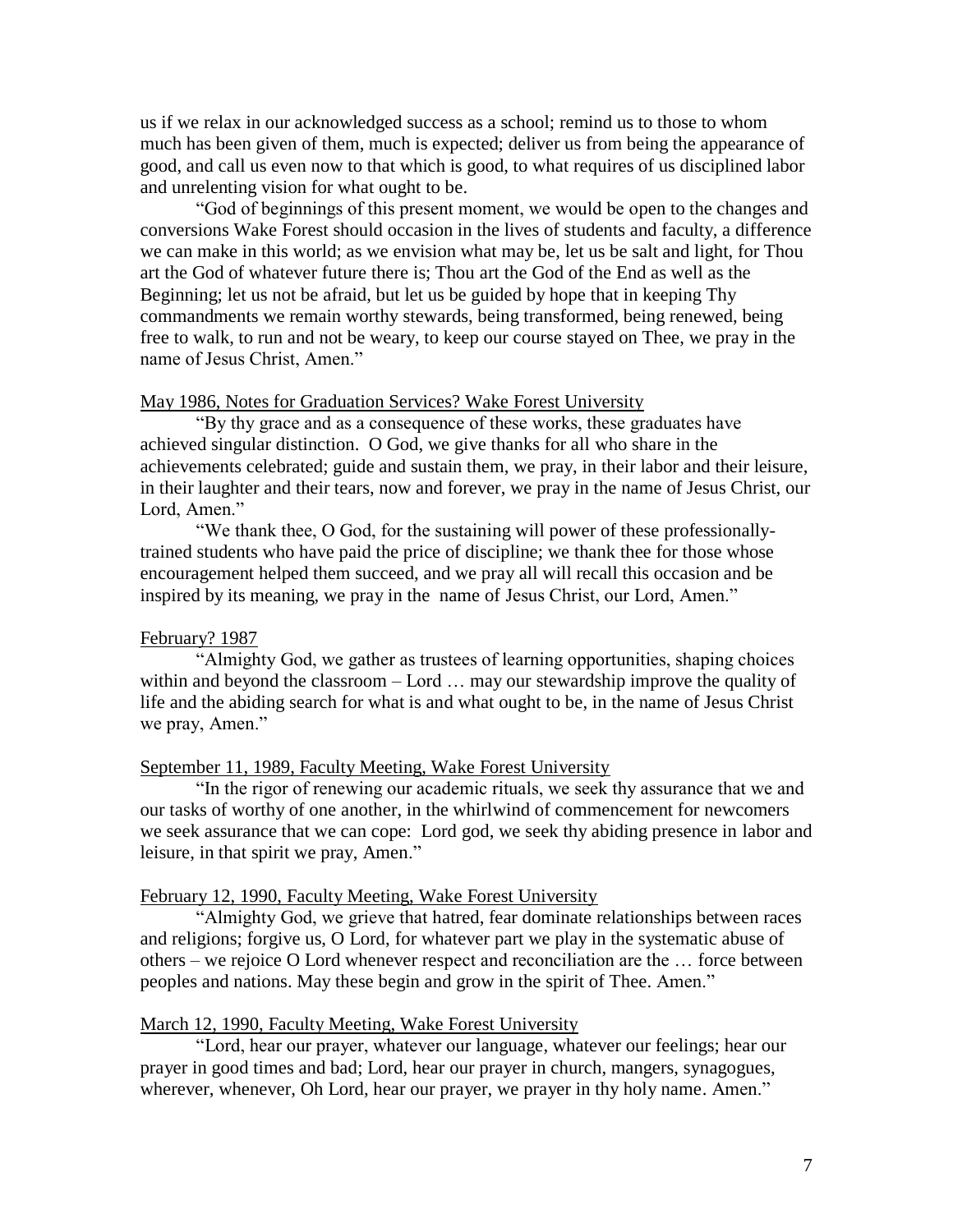us if we relax in our acknowledged success as a school; remind us to those to whom much has been given of them, much is expected; deliver us from being the appearance of good, and call us even now to that which is good, to what requires of us disciplined labor and unrelenting vision for what ought to be.

"God of beginnings of this present moment, we would be open to the changes and conversions Wake Forest should occasion in the lives of students and faculty, a difference we can make in this world; as we envision what may be, let us be salt and light, for Thou art the God of whatever future there is; Thou art the God of the End as well as the Beginning; let us not be afraid, but let us be guided by hope that in keeping Thy commandments we remain worthy stewards, being transformed, being renewed, being free to walk, to run and not be weary, to keep our course stayed on Thee, we pray in the name of Jesus Christ, Amen."

### May 1986, Notes for Graduation Services? Wake Forest University

"By thy grace and as a consequence of these works, these graduates have achieved singular distinction. O God, we give thanks for all who share in the achievements celebrated; guide and sustain them, we pray, in their labor and their leisure, in their laughter and their tears, now and forever, we pray in the name of Jesus Christ, our Lord, Amen."

"We thank thee, O God, for the sustaining will power of these professionallytrained students who have paid the price of discipline; we thank thee for those whose encouragement helped them succeed, and we pray all will recall this occasion and be inspired by its meaning, we pray in the name of Jesus Christ, our Lord, Amen."

#### February? 1987

"Almighty God, we gather as trustees of learning opportunities, shaping choices within and beyond the classroom – Lord … may our stewardship improve the quality of life and the abiding search for what is and what ought to be, in the name of Jesus Christ we pray, Amen."

# September 11, 1989, Faculty Meeting, Wake Forest University

"In the rigor of renewing our academic rituals, we seek thy assurance that we and our tasks of worthy of one another, in the whirlwind of commencement for newcomers we seek assurance that we can cope: Lord god, we seek thy abiding presence in labor and leisure, in that spirit we pray, Amen."

#### February 12, 1990, Faculty Meeting, Wake Forest University

"Almighty God, we grieve that hatred, fear dominate relationships between races and religions; forgive us, O Lord, for whatever part we play in the systematic abuse of others – we rejoice O Lord whenever respect and reconciliation are the … force between peoples and nations. May these begin and grow in the spirit of Thee. Amen."

#### March 12, 1990, Faculty Meeting, Wake Forest University

"Lord, hear our prayer, whatever our language, whatever our feelings; hear our prayer in good times and bad; Lord, hear our prayer in church, mangers, synagogues, wherever, whenever, Oh Lord, hear our prayer, we prayer in thy holy name. Amen."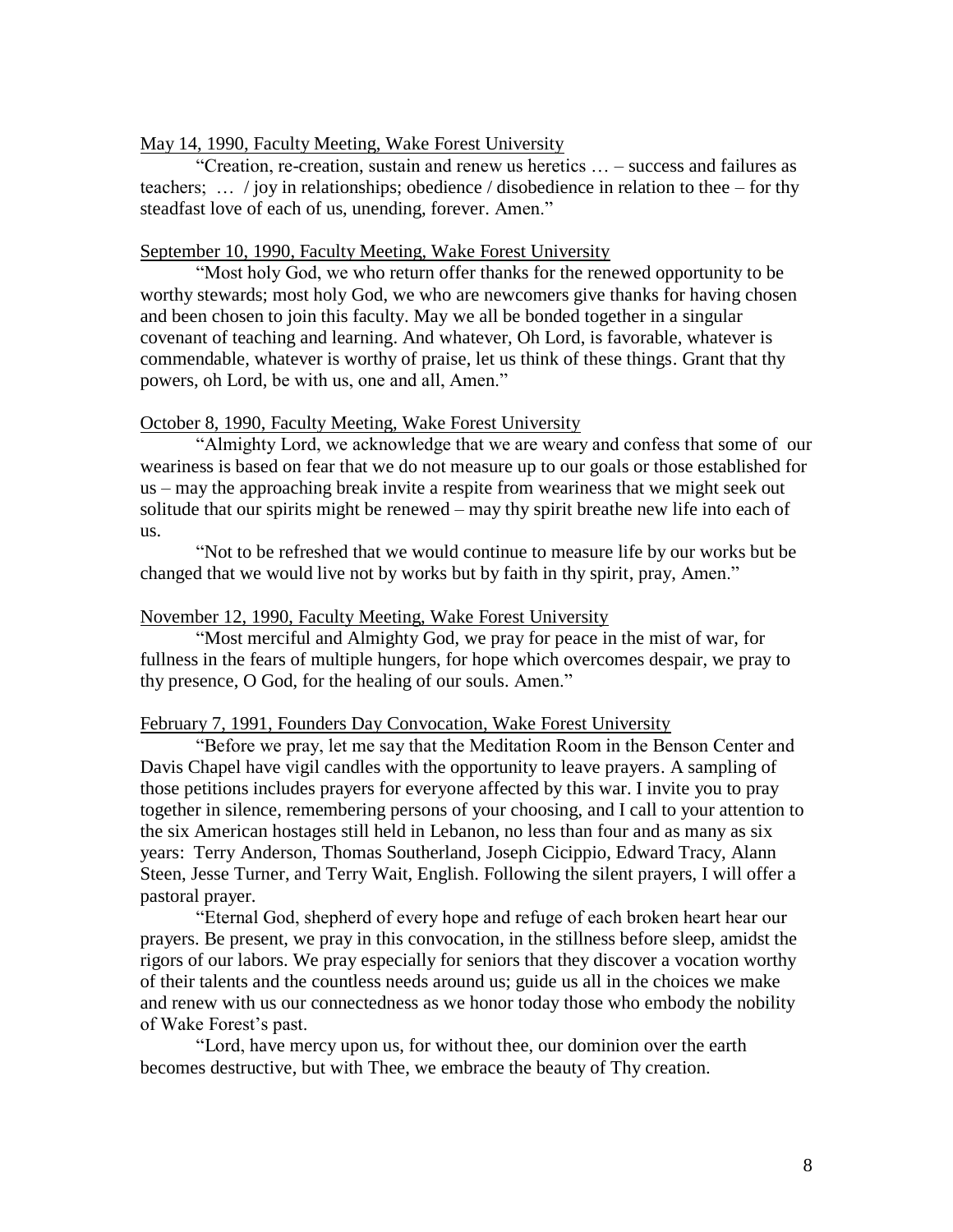### May 14, 1990, Faculty Meeting, Wake Forest University

"Creation, re-creation, sustain and renew us heretics … – success and failures as teachers; … / joy in relationships; obedience / disobedience in relation to thee – for thy steadfast love of each of us, unending, forever. Amen."

### September 10, 1990, Faculty Meeting, Wake Forest University

"Most holy God, we who return offer thanks for the renewed opportunity to be worthy stewards; most holy God, we who are newcomers give thanks for having chosen and been chosen to join this faculty. May we all be bonded together in a singular covenant of teaching and learning. And whatever, Oh Lord, is favorable, whatever is commendable, whatever is worthy of praise, let us think of these things. Grant that thy powers, oh Lord, be with us, one and all, Amen."

#### October 8, 1990, Faculty Meeting, Wake Forest University

"Almighty Lord, we acknowledge that we are weary and confess that some of our weariness is based on fear that we do not measure up to our goals or those established for us – may the approaching break invite a respite from weariness that we might seek out solitude that our spirits might be renewed – may thy spirit breathe new life into each of us.

"Not to be refreshed that we would continue to measure life by our works but be changed that we would live not by works but by faith in thy spirit, pray, Amen."

#### November 12, 1990, Faculty Meeting, Wake Forest University

"Most merciful and Almighty God, we pray for peace in the mist of war, for fullness in the fears of multiple hungers, for hope which overcomes despair, we pray to thy presence, O God, for the healing of our souls. Amen."

#### February 7, 1991, Founders Day Convocation, Wake Forest University

"Before we pray, let me say that the Meditation Room in the Benson Center and Davis Chapel have vigil candles with the opportunity to leave prayers. A sampling of those petitions includes prayers for everyone affected by this war. I invite you to pray together in silence, remembering persons of your choosing, and I call to your attention to the six American hostages still held in Lebanon, no less than four and as many as six years: Terry Anderson, Thomas Southerland, Joseph Cicippio, Edward Tracy, Alann Steen, Jesse Turner, and Terry Wait, English. Following the silent prayers, I will offer a pastoral prayer.

"Eternal God, shepherd of every hope and refuge of each broken heart hear our prayers. Be present, we pray in this convocation, in the stillness before sleep, amidst the rigors of our labors. We pray especially for seniors that they discover a vocation worthy of their talents and the countless needs around us; guide us all in the choices we make and renew with us our connectedness as we honor today those who embody the nobility of Wake Forest's past.

"Lord, have mercy upon us, for without thee, our dominion over the earth becomes destructive, but with Thee, we embrace the beauty of Thy creation.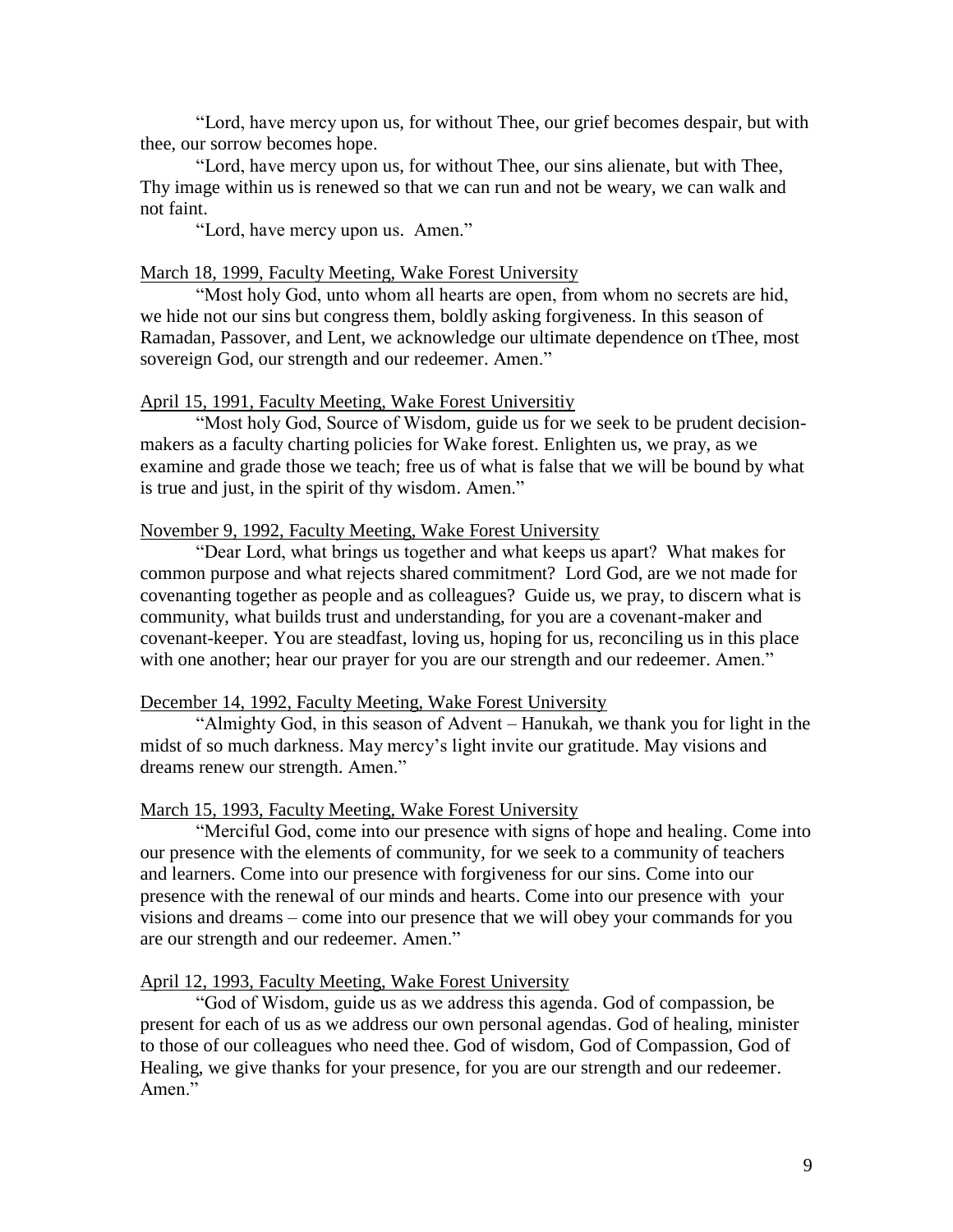"Lord, have mercy upon us, for without Thee, our grief becomes despair, but with thee, our sorrow becomes hope.

"Lord, have mercy upon us, for without Thee, our sins alienate, but with Thee, Thy image within us is renewed so that we can run and not be weary, we can walk and not faint.

"Lord, have mercy upon us. Amen."

#### March 18, 1999, Faculty Meeting, Wake Forest University

"Most holy God, unto whom all hearts are open, from whom no secrets are hid, we hide not our sins but congress them, boldly asking forgiveness. In this season of Ramadan, Passover, and Lent, we acknowledge our ultimate dependence on tThee, most sovereign God, our strength and our redeemer. Amen."

### April 15, 1991, Faculty Meeting, Wake Forest Universitiy

"Most holy God, Source of Wisdom, guide us for we seek to be prudent decisionmakers as a faculty charting policies for Wake forest. Enlighten us, we pray, as we examine and grade those we teach; free us of what is false that we will be bound by what is true and just, in the spirit of thy wisdom. Amen."

### November 9, 1992, Faculty Meeting, Wake Forest University

"Dear Lord, what brings us together and what keeps us apart? What makes for common purpose and what rejects shared commitment? Lord God, are we not made for covenanting together as people and as colleagues? Guide us, we pray, to discern what is community, what builds trust and understanding, for you are a covenant-maker and covenant-keeper. You are steadfast, loving us, hoping for us, reconciling us in this place with one another; hear our prayer for you are our strength and our redeemer. Amen."

#### December 14, 1992, Faculty Meeting, Wake Forest University

"Almighty God, in this season of Advent – Hanukah, we thank you for light in the midst of so much darkness. May mercy's light invite our gratitude. May visions and dreams renew our strength. Amen."

#### March 15, 1993, Faculty Meeting, Wake Forest University

"Merciful God, come into our presence with signs of hope and healing. Come into our presence with the elements of community, for we seek to a community of teachers and learners. Come into our presence with forgiveness for our sins. Come into our presence with the renewal of our minds and hearts. Come into our presence with your visions and dreams – come into our presence that we will obey your commands for you are our strength and our redeemer. Amen."

#### April 12, 1993, Faculty Meeting, Wake Forest University

"God of Wisdom, guide us as we address this agenda. God of compassion, be present for each of us as we address our own personal agendas. God of healing, minister to those of our colleagues who need thee. God of wisdom, God of Compassion, God of Healing, we give thanks for your presence, for you are our strength and our redeemer. Amen."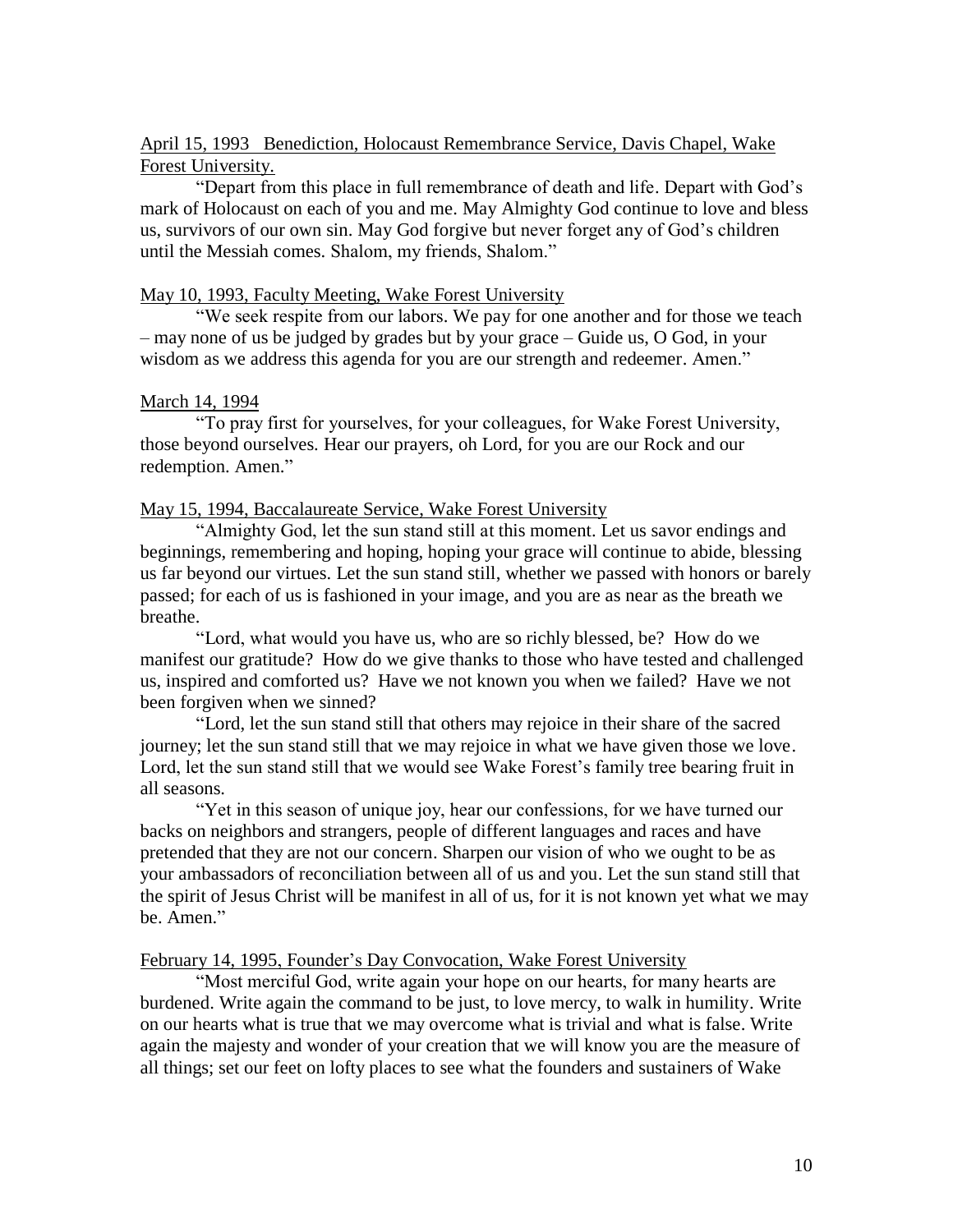# April 15, 1993 Benediction, Holocaust Remembrance Service, Davis Chapel, Wake Forest University.

"Depart from this place in full remembrance of death and life. Depart with God's mark of Holocaust on each of you and me. May Almighty God continue to love and bless us, survivors of our own sin. May God forgive but never forget any of God's children until the Messiah comes. Shalom, my friends, Shalom."

### May 10, 1993, Faculty Meeting, Wake Forest University

"We seek respite from our labors. We pay for one another and for those we teach – may none of us be judged by grades but by your grace – Guide us, O God, in your wisdom as we address this agenda for you are our strength and redeemer. Amen."

### March 14, 1994

"To pray first for yourselves, for your colleagues, for Wake Forest University, those beyond ourselves. Hear our prayers, oh Lord, for you are our Rock and our redemption. Amen."

### May 15, 1994, Baccalaureate Service, Wake Forest University

"Almighty God, let the sun stand still at this moment. Let us savor endings and beginnings, remembering and hoping, hoping your grace will continue to abide, blessing us far beyond our virtues. Let the sun stand still, whether we passed with honors or barely passed; for each of us is fashioned in your image, and you are as near as the breath we breathe.

"Lord, what would you have us, who are so richly blessed, be? How do we manifest our gratitude? How do we give thanks to those who have tested and challenged us, inspired and comforted us? Have we not known you when we failed? Have we not been forgiven when we sinned?

"Lord, let the sun stand still that others may rejoice in their share of the sacred journey; let the sun stand still that we may rejoice in what we have given those we love. Lord, let the sun stand still that we would see Wake Forest's family tree bearing fruit in all seasons.

"Yet in this season of unique joy, hear our confessions, for we have turned our backs on neighbors and strangers, people of different languages and races and have pretended that they are not our concern. Sharpen our vision of who we ought to be as your ambassadors of reconciliation between all of us and you. Let the sun stand still that the spirit of Jesus Christ will be manifest in all of us, for it is not known yet what we may be. Amen."

### February 14, 1995, Founder's Day Convocation, Wake Forest University

"Most merciful God, write again your hope on our hearts, for many hearts are burdened. Write again the command to be just, to love mercy, to walk in humility. Write on our hearts what is true that we may overcome what is trivial and what is false. Write again the majesty and wonder of your creation that we will know you are the measure of all things; set our feet on lofty places to see what the founders and sustainers of Wake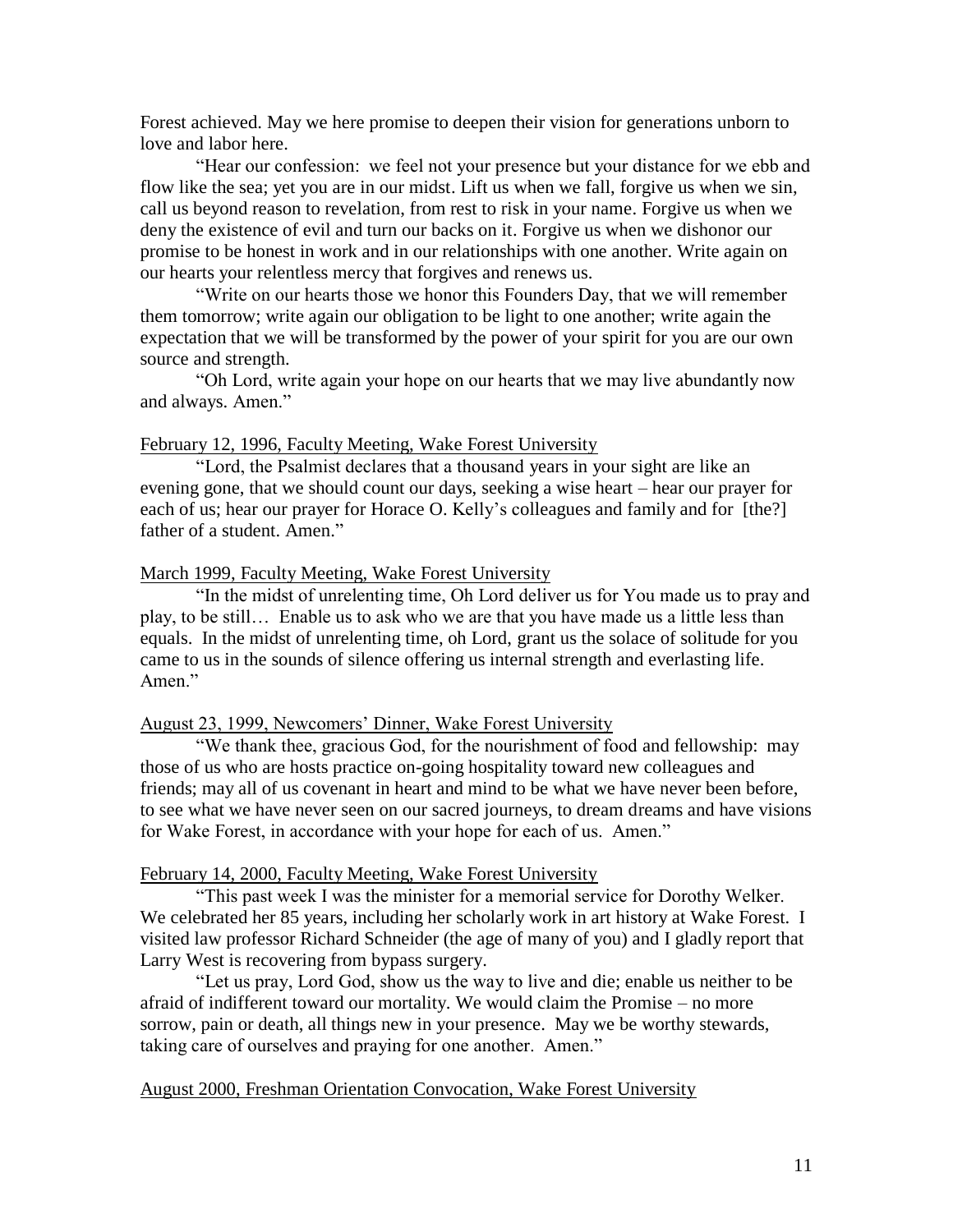Forest achieved. May we here promise to deepen their vision for generations unborn to love and labor here.

"Hear our confession: we feel not your presence but your distance for we ebb and flow like the sea; yet you are in our midst. Lift us when we fall, forgive us when we sin, call us beyond reason to revelation, from rest to risk in your name. Forgive us when we deny the existence of evil and turn our backs on it. Forgive us when we dishonor our promise to be honest in work and in our relationships with one another. Write again on our hearts your relentless mercy that forgives and renews us.

"Write on our hearts those we honor this Founders Day, that we will remember them tomorrow; write again our obligation to be light to one another; write again the expectation that we will be transformed by the power of your spirit for you are our own source and strength.

"Oh Lord, write again your hope on our hearts that we may live abundantly now and always. Amen."

#### February 12, 1996, Faculty Meeting, Wake Forest University

"Lord, the Psalmist declares that a thousand years in your sight are like an evening gone, that we should count our days, seeking a wise heart – hear our prayer for each of us; hear our prayer for Horace O. Kelly's colleagues and family and for [the?] father of a student. Amen."

### March 1999, Faculty Meeting, Wake Forest University

"In the midst of unrelenting time, Oh Lord deliver us for You made us to pray and play, to be still… Enable us to ask who we are that you have made us a little less than equals. In the midst of unrelenting time, oh Lord, grant us the solace of solitude for you came to us in the sounds of silence offering us internal strength and everlasting life. Amen."

#### August 23, 1999, Newcomers' Dinner, Wake Forest University

"We thank thee, gracious God, for the nourishment of food and fellowship: may those of us who are hosts practice on-going hospitality toward new colleagues and friends; may all of us covenant in heart and mind to be what we have never been before, to see what we have never seen on our sacred journeys, to dream dreams and have visions for Wake Forest, in accordance with your hope for each of us. Amen."

#### February 14, 2000, Faculty Meeting, Wake Forest University

"This past week I was the minister for a memorial service for Dorothy Welker. We celebrated her 85 years, including her scholarly work in art history at Wake Forest. I visited law professor Richard Schneider (the age of many of you) and I gladly report that Larry West is recovering from bypass surgery.

"Let us pray, Lord God, show us the way to live and die; enable us neither to be afraid of indifferent toward our mortality. We would claim the Promise – no more sorrow, pain or death, all things new in your presence. May we be worthy stewards, taking care of ourselves and praying for one another. Amen."

#### August 2000, Freshman Orientation Convocation, Wake Forest University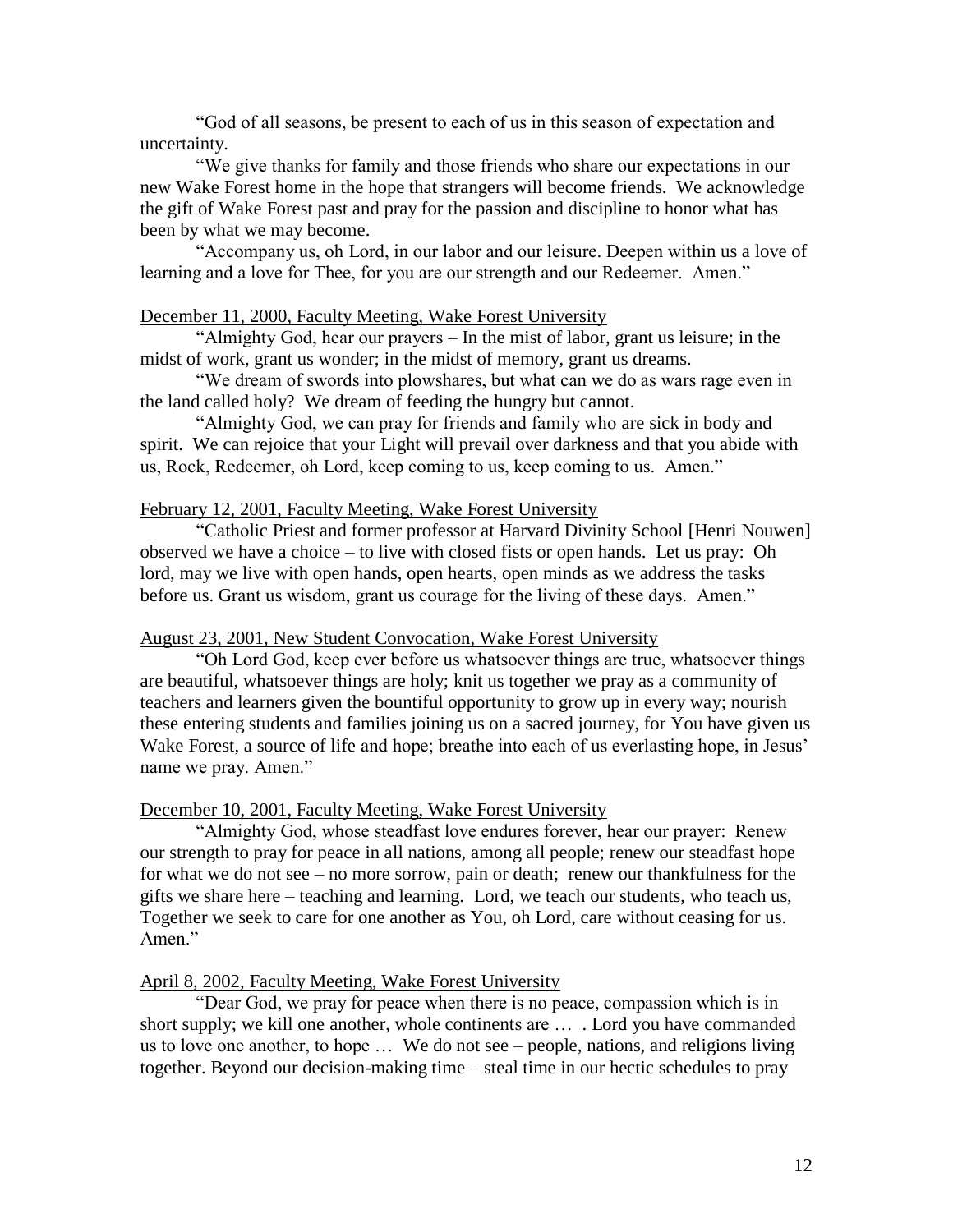"God of all seasons, be present to each of us in this season of expectation and uncertainty.

"We give thanks for family and those friends who share our expectations in our new Wake Forest home in the hope that strangers will become friends. We acknowledge the gift of Wake Forest past and pray for the passion and discipline to honor what has been by what we may become.

"Accompany us, oh Lord, in our labor and our leisure. Deepen within us a love of learning and a love for Thee, for you are our strength and our Redeemer. Amen."

### December 11, 2000, Faculty Meeting, Wake Forest University

"Almighty God, hear our prayers – In the mist of labor, grant us leisure; in the midst of work, grant us wonder; in the midst of memory, grant us dreams.

"We dream of swords into plowshares, but what can we do as wars rage even in the land called holy? We dream of feeding the hungry but cannot.

"Almighty God, we can pray for friends and family who are sick in body and spirit. We can rejoice that your Light will prevail over darkness and that you abide with us, Rock, Redeemer, oh Lord, keep coming to us, keep coming to us. Amen."

#### February 12, 2001, Faculty Meeting, Wake Forest University

"Catholic Priest and former professor at Harvard Divinity School [Henri Nouwen] observed we have a choice – to live with closed fists or open hands. Let us pray: Oh lord, may we live with open hands, open hearts, open minds as we address the tasks before us. Grant us wisdom, grant us courage for the living of these days. Amen."

#### August 23, 2001, New Student Convocation, Wake Forest University

"Oh Lord God, keep ever before us whatsoever things are true, whatsoever things are beautiful, whatsoever things are holy; knit us together we pray as a community of teachers and learners given the bountiful opportunity to grow up in every way; nourish these entering students and families joining us on a sacred journey, for You have given us Wake Forest, a source of life and hope; breathe into each of us everlasting hope, in Jesus' name we pray. Amen."

#### December 10, 2001, Faculty Meeting, Wake Forest University

"Almighty God, whose steadfast love endures forever, hear our prayer: Renew our strength to pray for peace in all nations, among all people; renew our steadfast hope for what we do not see – no more sorrow, pain or death; renew our thankfulness for the gifts we share here – teaching and learning. Lord, we teach our students, who teach us, Together we seek to care for one another as You, oh Lord, care without ceasing for us. Amen."

### April 8, 2002, Faculty Meeting, Wake Forest University

"Dear God, we pray for peace when there is no peace, compassion which is in short supply; we kill one another, whole continents are … . Lord you have commanded us to love one another, to hope … We do not see – people, nations, and religions living together. Beyond our decision-making time – steal time in our hectic schedules to pray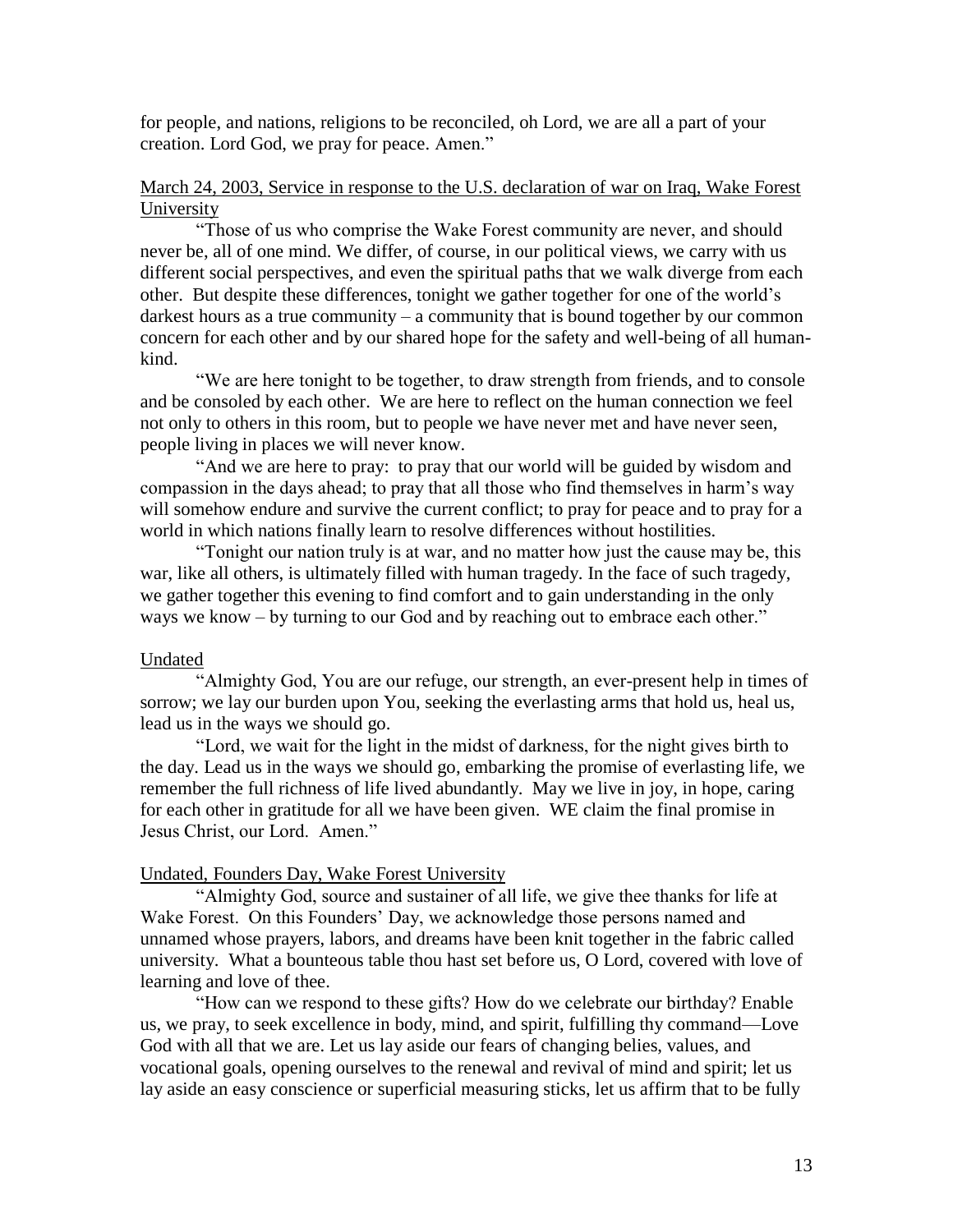for people, and nations, religions to be reconciled, oh Lord, we are all a part of your creation. Lord God, we pray for peace. Amen."

## March 24, 2003, Service in response to the U.S. declaration of war on Iraq, Wake Forest University

"Those of us who comprise the Wake Forest community are never, and should never be, all of one mind. We differ, of course, in our political views, we carry with us different social perspectives, and even the spiritual paths that we walk diverge from each other. But despite these differences, tonight we gather together for one of the world's darkest hours as a true community – a community that is bound together by our common concern for each other and by our shared hope for the safety and well-being of all humankind.

"We are here tonight to be together, to draw strength from friends, and to console and be consoled by each other. We are here to reflect on the human connection we feel not only to others in this room, but to people we have never met and have never seen, people living in places we will never know.

"And we are here to pray: to pray that our world will be guided by wisdom and compassion in the days ahead; to pray that all those who find themselves in harm's way will somehow endure and survive the current conflict; to pray for peace and to pray for a world in which nations finally learn to resolve differences without hostilities.

"Tonight our nation truly is at war, and no matter how just the cause may be, this war, like all others, is ultimately filled with human tragedy. In the face of such tragedy, we gather together this evening to find comfort and to gain understanding in the only ways we know – by turning to our God and by reaching out to embrace each other."

## Undated

"Almighty God, You are our refuge, our strength, an ever-present help in times of sorrow; we lay our burden upon You, seeking the everlasting arms that hold us, heal us, lead us in the ways we should go.

"Lord, we wait for the light in the midst of darkness, for the night gives birth to the day. Lead us in the ways we should go, embarking the promise of everlasting life, we remember the full richness of life lived abundantly. May we live in joy, in hope, caring for each other in gratitude for all we have been given. WE claim the final promise in Jesus Christ, our Lord. Amen."

### Undated, Founders Day, Wake Forest University

"Almighty God, source and sustainer of all life, we give thee thanks for life at Wake Forest. On this Founders' Day, we acknowledge those persons named and unnamed whose prayers, labors, and dreams have been knit together in the fabric called university. What a bounteous table thou hast set before us, O Lord, covered with love of learning and love of thee.

"How can we respond to these gifts? How do we celebrate our birthday? Enable us, we pray, to seek excellence in body, mind, and spirit, fulfilling thy command—Love God with all that we are. Let us lay aside our fears of changing belies, values, and vocational goals, opening ourselves to the renewal and revival of mind and spirit; let us lay aside an easy conscience or superficial measuring sticks, let us affirm that to be fully